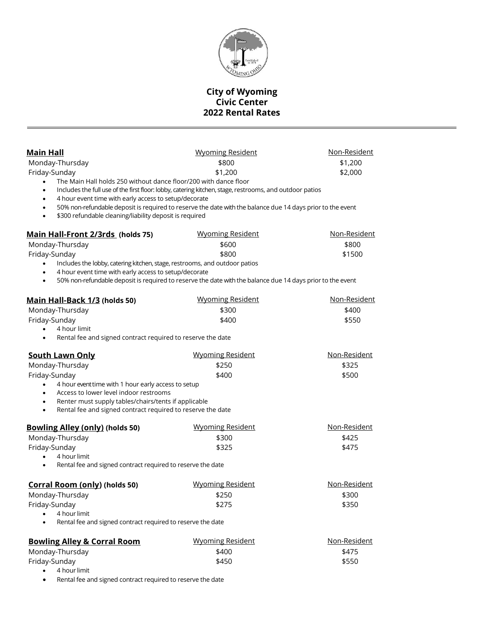

## **City of Wyoming Civic Center 2022 Rental Rates**

| Main Hall                                                                  | <b>Wyoming Resident</b>                                                                                    | <u>Non-Resident</u> |
|----------------------------------------------------------------------------|------------------------------------------------------------------------------------------------------------|---------------------|
| Monday-Thursday                                                            | \$800                                                                                                      | \$1,200             |
| Friday-Sunday                                                              | \$1,200                                                                                                    | \$2,000             |
| The Main Hall holds 250 without dance floor/200 with dance floor           |                                                                                                            |                     |
| $\bullet$                                                                  | Includes the full use of the first floor: lobby, catering kitchen, stage, restrooms, and outdoor patios    |                     |
| 4 hour event time with early access to setup/decorate<br>$\bullet$         |                                                                                                            |                     |
| \$300 refundable cleaning/liability deposit is required<br>$\bullet$       | 50% non-refundable deposit is required to reserve the date with the balance due 14 days prior to the event |                     |
| Main Hall-Front 2/3rds (holds 75)                                          | <b>Wyoming Resident</b>                                                                                    | Non-Resident        |
| Monday-Thursday                                                            | \$600                                                                                                      | \$800               |
| Friday-Sunday                                                              | \$800                                                                                                      | \$1500              |
| Includes the lobby, catering kitchen, stage, restrooms, and outdoor patios |                                                                                                            |                     |
| 4 hour event time with early access to setup/decorate                      |                                                                                                            |                     |
| $\bullet$                                                                  | 50% non-refundable deposit is required to reserve the date with the balance due 14 days prior to the event |                     |
| <u>Main Hall-Back 1/3</u> (holds 50)                                       | <b>Wyoming Resident</b>                                                                                    | <u>Non-Resident</u> |
| Monday-Thursday                                                            | \$300                                                                                                      | \$400               |
| Friday-Sunday                                                              | \$400                                                                                                      | \$550               |
| 4 hour limit                                                               |                                                                                                            |                     |
| Rental fee and signed contract required to reserve the date<br>$\bullet$   |                                                                                                            |                     |
| <b>South Lawn Only</b>                                                     | <b>Wyoming Resident</b>                                                                                    | Non-Resident        |
| Monday-Thursday                                                            | \$250                                                                                                      | \$325               |
| Friday-Sunday                                                              | \$400                                                                                                      | \$500               |
| 4 hour event time with 1 hour early access to setup<br>$\bullet$           |                                                                                                            |                     |
| Access to lower level indoor restrooms<br>$\bullet$                        |                                                                                                            |                     |
| Renter must supply tables/chairs/tents if applicable<br>٠                  |                                                                                                            |                     |
| Rental fee and signed contract required to reserve the date<br>$\bullet$   |                                                                                                            |                     |
| <b>Bowling Alley (only) (holds 50)</b>                                     | <b>Wyoming Resident</b>                                                                                    | <u>Non-Resident</u> |
| Monday-Thursday                                                            | \$300                                                                                                      | \$425               |
| Friday-Sunday                                                              | \$325                                                                                                      | \$475               |
| 4 hour limit                                                               |                                                                                                            |                     |
| Rental fee and signed contract required to reserve the date                |                                                                                                            |                     |
| Corral Room (only) (holds 50)                                              | <b>Wyoming Resident</b>                                                                                    | Non-Resident        |
| Monday-Thursday                                                            | \$250                                                                                                      | \$300               |
| Friday-Sunday                                                              | \$275                                                                                                      | \$350               |
| 4 hour limit                                                               |                                                                                                            |                     |
| Rental fee and signed contract required to reserve the date                |                                                                                                            |                     |
| <b>Bowling Alley &amp; Corral Room</b>                                     | <b>Wyoming Resident</b>                                                                                    | <u>Non-Resident</u> |
| Monday-Thursday                                                            | \$400                                                                                                      | \$475               |
| Friday-Sunday                                                              | \$450                                                                                                      | \$550               |
| 4 hour limit<br>$\bullet$                                                  |                                                                                                            |                     |

Rental fee and signed contract required to reserve the date